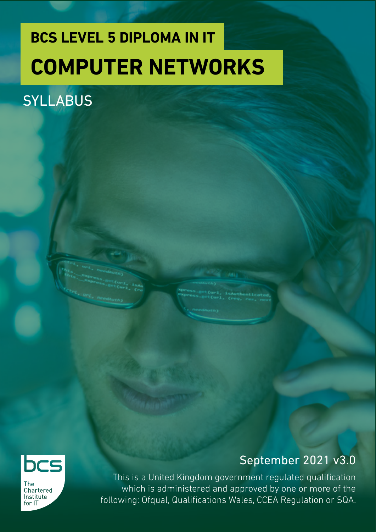## **BCS LEVEL 5 DIPLOMA IN IT COMPUTER NETWORKS**

### **SYLLABUS**



**The** Chartered Institute for IT

### September 2021 v3.0

This is a United Kingdom government regulated qualification which is administered and approved by one or more of the following: Ofqual, Qualifications Wales, CCEA Regulation or SQA.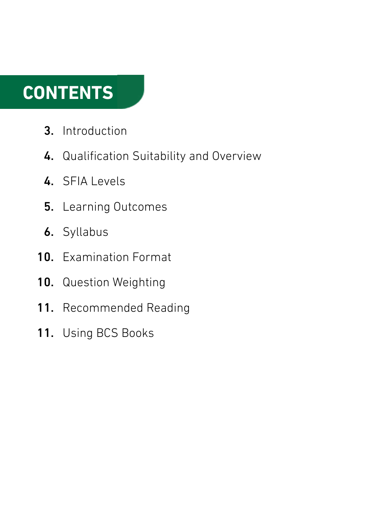## **CONTENTS**

- Introduction 3.
- 4. Qualification Suitability and Overview
- 4. SFIA Levels
- 5. Learning Outcomes
- **6.** Syllabus
- 10. Examination Format
- Question Weighting 10.
- Recommended Reading 11.
- 11. Using BCS Books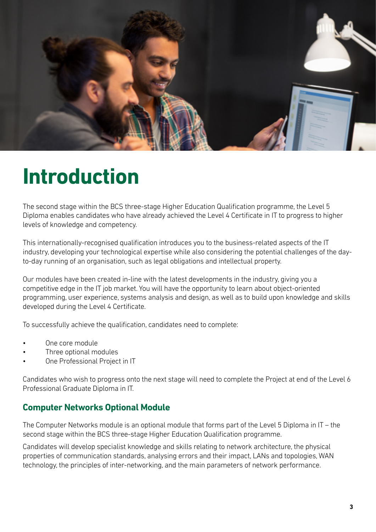

## **Introduction**

The second stage within the BCS three-stage Higher Education Qualification programme, the Level 5 Diploma enables candidates who have already achieved the Level 4 Certificate in IT to progress to higher levels of knowledge and competency.

This internationally-recognised qualification introduces you to the business-related aspects of the IT industry, developing your technological expertise while also considering the potential challenges of the dayto-day running of an organisation, such as legal obligations and intellectual property.

Our modules have been created in-line with the latest developments in the industry, giving you a competitive edge in the IT job market. You will have the opportunity to learn about object-oriented programming, user experience, systems analysis and design, as well as to build upon knowledge and skills developed during the Level 4 Certificate.

To successfully achieve the qualification, candidates need to complete:

- One core module
- Three optional modules
- One Professional Project in IT

Candidates who wish to progress onto the next stage will need to complete the Project at end of the Level 6 Professional Graduate Diploma in IT.

#### **Computer Networks Optional Module**

The Computer Networks module is an optional module that forms part of the Level 5 Diploma in IT – the second stage within the BCS three-stage Higher Education Qualification programme.

Candidates will develop specialist knowledge and skills relating to network architecture, the physical properties of communication standards, analysing errors and their impact, LANs and topologies, WAN technology, the principles of inter-networking, and the main parameters of network performance.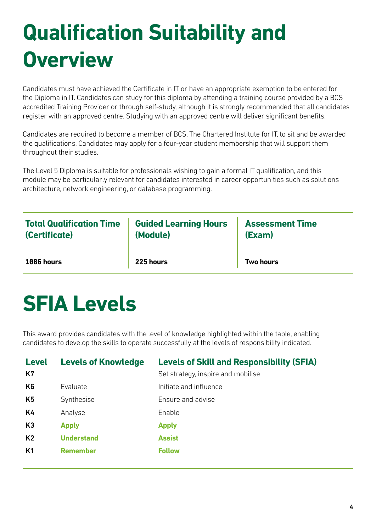# **Qualification Suitability and Overview**

Candidates must have achieved the Certificate in IT or have an appropriate exemption to be entered for the Diploma in IT. Candidates can study for this diploma by attending a training course provided by a BCS accredited Training Provider or through self-study, although it is strongly recommended that all candidates register with an approved centre. Studying with an approved centre will deliver significant benefits.

Candidates are required to become a member of BCS, The Chartered Institute for IT, to sit and be awarded the qualifications. Candidates may apply for a four-year student membership that will support them throughout their studies.

The Level 5 Diploma is suitable for professionals wishing to gain a formal IT qualification, and this module may be particularly relevant for candidates interested in career opportunities such as solutions architecture, network engineering, or database programming.

| <b>Total Qualification Time</b> | <b>Guided Learning Hours</b> | <b>Assessment Time</b> |
|---------------------------------|------------------------------|------------------------|
| (Certificate)                   | (Module)                     | (Exam)                 |
| 1086 hours                      | 225 hours                    | <b>Two hours</b>       |

## **SFIA Levels**

This award provides candidates with the level of knowledge highlighted within the table, enabling candidates to develop the skills to operate successfully at the levels of responsibility indicated.

| <b>Level</b><br>K7 | <b>Levels of Knowledge</b> | <b>Levels of Skill and Responsibility (SFIA)</b><br>Set strategy, inspire and mobilise |
|--------------------|----------------------------|----------------------------------------------------------------------------------------|
| K <sub>6</sub>     | Evaluate                   | Initiate and influence                                                                 |
| K <sub>5</sub>     | Synthesise                 | Ensure and advise                                                                      |
| K4                 | Analyse                    | Enable                                                                                 |
| K <sub>3</sub>     | <b>Apply</b>               | <b>Apply</b>                                                                           |
| K <sub>2</sub>     | <b>Understand</b>          | <b>Assist</b>                                                                          |
| K1                 | <b>Remember</b>            | <b>Follow</b>                                                                          |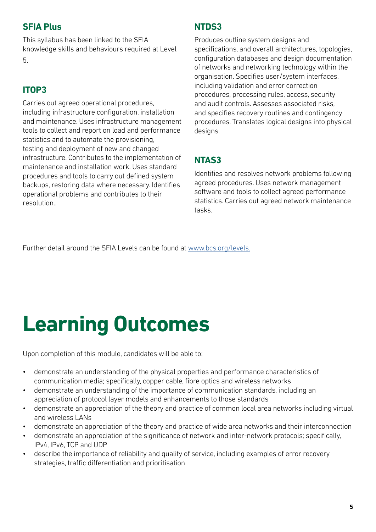### **SFIA Plus**

This syllabus has been linked to the SFIA knowledge skills and behaviours required at Level 5.

### **ITOP3**

Carries out agreed operational procedures, including infrastructure configuration, installation and maintenance. Uses infrastructure management tools to collect and report on load and performance statistics and to automate the provisioning, testing and deployment of new and changed infrastructure. Contributes to the implementation of maintenance and installation work. Uses standard procedures and tools to carry out defined system backups, restoring data where necessary. Identifies operational problems and contributes to their resolution..

### **NTDS3**

Produces outline system designs and specifications, and overall architectures, topologies, configuration databases and design documentation of networks and networking technology within the organisation. Specifies user/system interfaces, including validation and error correction procedures, processing rules, access, security and audit controls. Assesses associated risks, and specifies recovery routines and contingency procedures. Translates logical designs into physical designs.

### **NTAS3**

Identifies and resolves network problems following agreed procedures. Uses network management software and tools to collect agreed performance statistics. Carries out agreed network maintenance tasks.

Further detail around the SFIA Levels can be found at [www.bcs.org/levels.](https://www.bcs.org/media/5165/sfia-levels-knowledge.pdf)

# **Learning Outcomes**

Upon completion of this module, candidates will be able to:

- demonstrate an understanding of the physical properties and performance characteristics of communication media; specifically, copper cable, fibre optics and wireless networks
- demonstrate an understanding of the importance of communication standards, including an appreciation of protocol layer models and enhancements to those standards
- demonstrate an appreciation of the theory and practice of common local area networks including virtual and wireless LANs
- demonstrate an appreciation of the theory and practice of wide area networks and their interconnection
- demonstrate an appreciation of the significance of network and inter-network protocols; specifically, IPv4, IPv6, TCP and UDP
- describe the importance of reliability and quality of service, including examples of error recovery strategies, traffic differentiation and prioritisation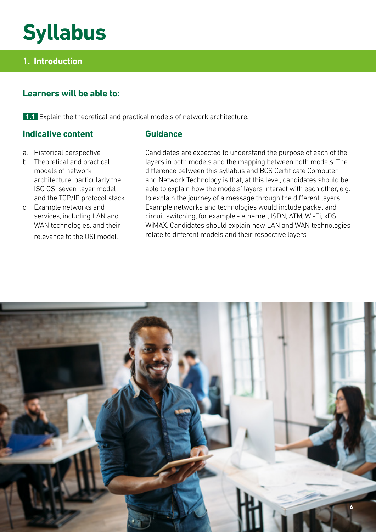## **Syllabus**

### **1. Introduction**

### **Learners will be able to:**

**1.1** Explain the theoretical and practical models of network architecture.

#### **Indicative content**

#### **Guidance**

- a. Historical perspective
- b. Theoretical and practical models of network architecture, particularly the ISO OSI seven-layer model and the TCP/IP protocol stack
- c. Example networks and services, including LAN and WAN technologies, and their relevance to the OSI model.

Candidates are expected to understand the purpose of each of the layers in both models and the mapping between both models. The difference between this syllabus and BCS Certificate Computer and Network Technology is that, at this level, candidates should be able to explain how the models' layers interact with each other, e.g. to explain the journey of a message through the different layers. Example networks and technologies would include packet and circuit switching, for example - ethernet, ISDN, ATM, Wi-Fi, xDSL, WiMAX. Candidates should explain how LAN and WAN technologies relate to different models and their respective layers

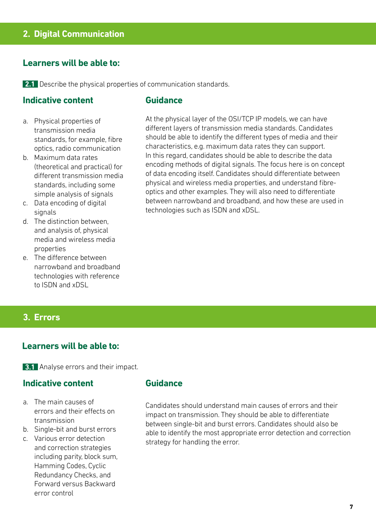#### **Learners will be able to:**

**2.1** Describe the physical properties of communication standards.

#### **Indicative content**

#### **Guidance**

- a. Physical properties of transmission media standards, for example, fibre optics, radio communication
- b. Maximum data rates (theoretical and practical) for different transmission media standards, including some simple analysis of signals
- c. Data encoding of digital signals
- d. The distinction between, and analysis of, physical media and wireless media properties
- e. The difference between narrowband and broadband technologies with reference to ISDN and xDSL

At the physical layer of the OSI/TCP IP models, we can have different layers of transmission media standards. Candidates should be able to identify the different types of media and their characteristics, e.g. maximum data rates they can support. In this regard, candidates should be able to describe the data encoding methods of digital signals. The focus here is on concept of data encoding itself. Candidates should differentiate between physical and wireless media properties, and understand fibreoptics and other examples. They will also need to differentiate between narrowband and broadband, and how these are used in technologies such as ISDN and xDSL.

#### **3. Errors**

#### **Learners will be able to:**

**3.1** Analyse errors and their impact.

#### **Indicative content**

- a. The main causes of errors and their effects on transmission
- b. Single-bit and burst errors
- c. Various error detection and correction strategies including parity, block sum, Hamming Codes, Cyclic Redundancy Checks, and Forward versus Backward error control

#### **Guidance**

Candidates should understand main causes of errors and their impact on transmission. They should be able to differentiate between single-bit and burst errors. Candidates should also be able to identify the most appropriate error detection and correction strategy for handling the error.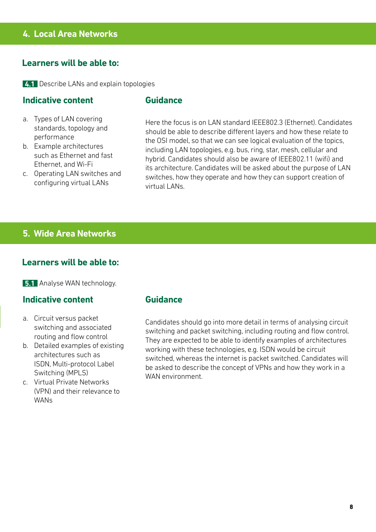#### **4. Local Area Networks**

#### **Learners will be able to:**

**4.1** Describe LANs and explain topologies

#### **Indicative content**

#### **Guidance**

- a. Types of LAN covering standards, topology and performance
- b. Example architectures such as Ethernet and fast Ethernet, and Wi-Fi
- c. Operating LAN switches and configuring virtual LANs

Here the focus is on LAN standard IEEE802.3 (Ethernet). Candidates should be able to describe different layers and how these relate to the OSI model, so that we can see logical evaluation of the topics, including LAN topologies, e.g. bus, ring, star, mesh, cellular and hybrid. Candidates should also be aware of IEEE802.11 (wifi) and its architecture. Candidates will be asked about the purpose of LAN switches, how they operate and how they can support creation of virtual LANs.

#### **5. Wide Area Networks**

#### **Learners will be able to:**

**5.1** Analyse WAN technology.

#### **Indicative content**

- a. Circuit versus packet switching and associated routing and flow control
- b. Detailed examples of existing architectures such as ISDN, Multi-protocol Label Switching (MPLS)
- c. Virtual Private Networks (VPN) and their relevance to WANs

#### **Guidance**

Candidates should go into more detail in terms of analysing circuit switching and packet switching, including routing and flow control. They are expected to be able to identify examples of architectures working with these technologies, e.g. ISDN would be circuit switched, whereas the internet is packet switched. Candidates will be asked to describe the concept of VPNs and how they work in a WAN environment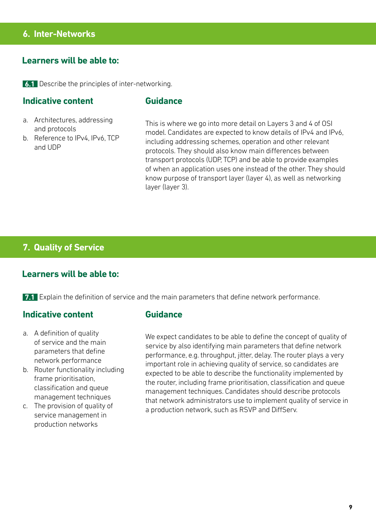#### **6. Inter-Networks**

#### **Learners will be able to:**

**6.1** Describe the principles of inter-networking.

#### **Indicative content**

#### **Guidance**

- a. Architectures, addressing and protocols
- b. Reference to IPv4, IPv6, TCP and UDP

This is where we go into more detail on Layers 3 and 4 of OSI model. Candidates are expected to know details of IPv4 and IPv6, including addressing schemes, operation and other relevant protocols. They should also know main differences between transport protocols (UDP, TCP) and be able to provide examples of when an application uses one instead of the other. They should know purpose of transport layer (layer 4), as well as networking layer (layer 3).

#### **7. Quality of Service**

#### **Learners will be able to:**

**7.1** Explain the definition of service and the main parameters that define network performance.

#### **Indicative content**

- a. A definition of quality of service and the main parameters that define network performance
- b. Router functionality including frame prioritisation, classification and queue management techniques
- c. The provision of quality of service management in production networks

#### **Guidance**

We expect candidates to be able to define the concept of quality of service by also identifying main parameters that define network performance, e.g. throughput, jitter, delay. The router plays a very important role in achieving quality of service, so candidates are expected to be able to describe the functionality implemented by the router, including frame prioritisation, classification and queue management techniques. Candidates should describe protocols that network administrators use to implement quality of service in a production network, such as RSVP and DiffServ.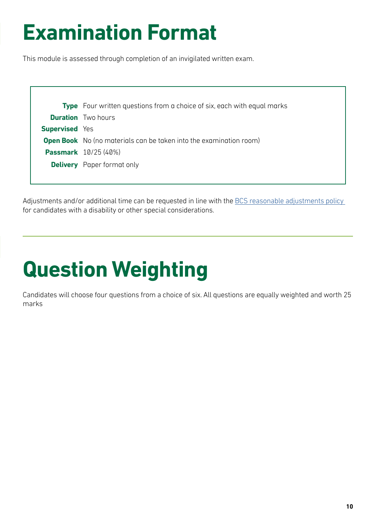## **Examination Format**

This module is assessed through completion of an invigilated written exam.

|                       | <b>Type</b> Four written questions from a choice of six, each with equal marks |
|-----------------------|--------------------------------------------------------------------------------|
|                       | <b>Duration</b> Two hours                                                      |
| <b>Supervised</b> Yes |                                                                                |
|                       | <b>Open Book</b> No (no materials can be taken into the examination room)      |
|                       | <b>Passmark</b> 10/25 (40%)                                                    |
|                       | <b>Delivery</b> Paper format only                                              |
|                       |                                                                                |

Adjustments and/or additional time can be requested in line with the BCS reasonable adjustments policy for candidates with a disability or other special considerations.

# **Question Weighting**

Candidates will choose four questions from a choice of six. All questions are equally weighted and worth 25 marks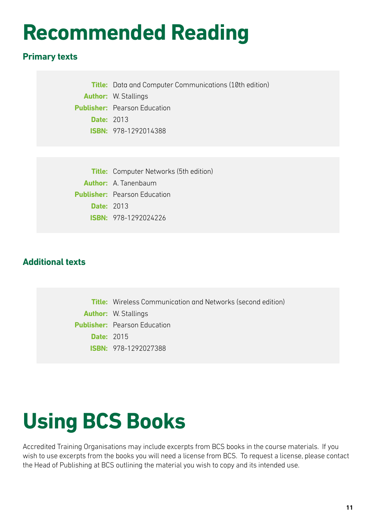## **Recommended Reading**

### **Primary texts**

**Title:** Data and Computer Communications (10th edition) **Author:** W. Stallings **Publisher:** Pearson Education **Date:** 2013 **ISBN:** 978-1292014388

**Title:** Computer Networks (5th edition) **Author:** A. Tanenbaum **Publisher:** Pearson Education **Date:** 2013 **ISBN:** 978-1292024226

### **Additional texts**

**Title:** Wireless Communication and Networks (second edition) **Author:** W. Stallings **Publisher:** Pearson Education **Date:** 2015 **ISBN:** 978-1292027388

## **Using BCS Books**

Accredited Training Organisations may include excerpts from BCS books in the course materials. If you wish to use excerpts from the books you will need a license from BCS. To request a license, please contact the Head of Publishing at BCS outlining the material you wish to copy and its intended use.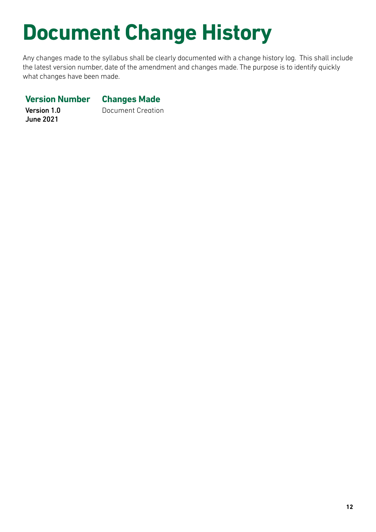# **Document Change History**

Any changes made to the syllabus shall be clearly documented with a change history log. This shall include the latest version number, date of the amendment and changes made. The purpose is to identify quickly what changes have been made.

#### **Version Number Changes Made**

Version 1.0 June 2021

Document Creation